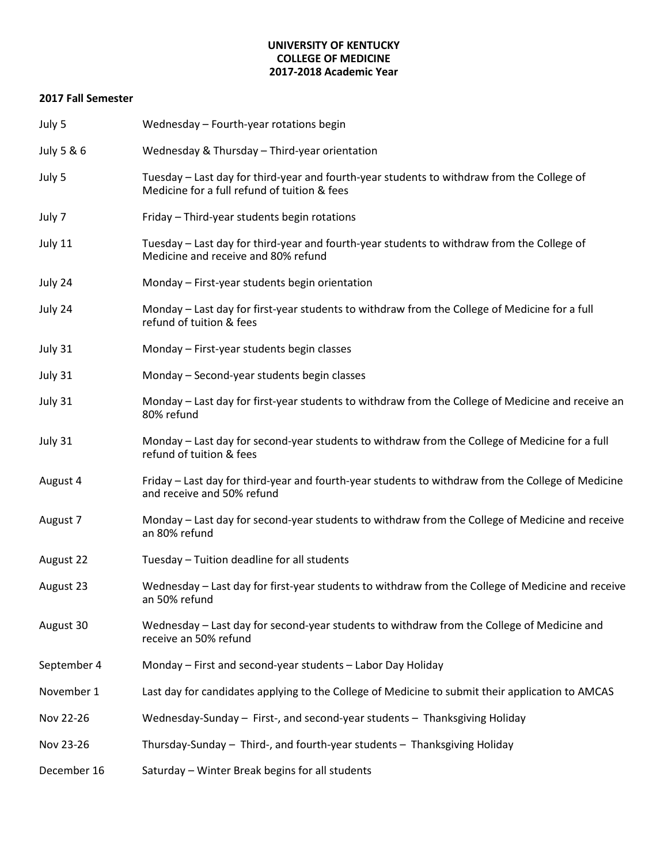#### **UNIVERSITY OF KENTUCKY COLLEGE OF MEDICINE 2017-2018 Academic Year**

### **2017 Fall Semester**

| July 5      | Wednesday - Fourth-year rotations begin                                                                                                    |
|-------------|--------------------------------------------------------------------------------------------------------------------------------------------|
| July 5 & 6  | Wednesday & Thursday - Third-year orientation                                                                                              |
| July 5      | Tuesday – Last day for third-year and fourth-year students to withdraw from the College of<br>Medicine for a full refund of tuition & fees |
| July 7      | Friday - Third-year students begin rotations                                                                                               |
| July 11     | Tuesday - Last day for third-year and fourth-year students to withdraw from the College of<br>Medicine and receive and 80% refund          |
| July 24     | Monday - First-year students begin orientation                                                                                             |
| July 24     | Monday – Last day for first-year students to withdraw from the College of Medicine for a full<br>refund of tuition & fees                  |
| July 31     | Monday - First-year students begin classes                                                                                                 |
| July 31     | Monday - Second-year students begin classes                                                                                                |
| July 31     | Monday – Last day for first-year students to withdraw from the College of Medicine and receive an<br>80% refund                            |
| July 31     | Monday - Last day for second-year students to withdraw from the College of Medicine for a full<br>refund of tuition & fees                 |
| August 4    | Friday – Last day for third-year and fourth-year students to withdraw from the College of Medicine<br>and receive and 50% refund           |
| August 7    | Monday - Last day for second-year students to withdraw from the College of Medicine and receive<br>an 80% refund                           |
| August 22   | Tuesday - Tuition deadline for all students                                                                                                |
| August 23   | Wednesday – Last day for first-year students to withdraw from the College of Medicine and receive<br>an 50% refund                         |
| August 30   | Wednesday - Last day for second-year students to withdraw from the College of Medicine and<br>receive an 50% refund                        |
| September 4 | Monday - First and second-year students - Labor Day Holiday                                                                                |
| November 1  | Last day for candidates applying to the College of Medicine to submit their application to AMCAS                                           |
| Nov 22-26   | Wednesday-Sunday - First-, and second-year students - Thanksgiving Holiday                                                                 |
| Nov 23-26   | Thursday-Sunday - Third-, and fourth-year students - Thanksgiving Holiday                                                                  |
| December 16 | Saturday - Winter Break begins for all students                                                                                            |